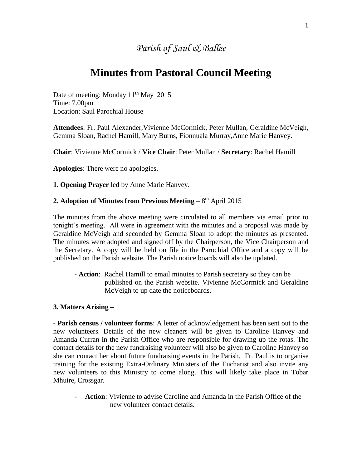## *Parish of Saul & Ballee*

## **Minutes from Pastoral Council Meeting**

Date of meeting: Monday  $11<sup>th</sup>$  May 2015 Time: 7.00pm Location: Saul Parochial House

**Attendees**: Fr. Paul Alexander,Vivienne McCormick, Peter Mullan, Geraldine McVeigh, Gemma Sloan, Rachel Hamill, Mary Burns, Fionnuala Murray,Anne Marie Hanvey.

**Chair**: Vivienne McCormick / **Vice Chair**: Peter Mullan / **Secretary**: Rachel Hamill

**Apologies**: There were no apologies.

**1. Opening Prayer** led by Anne Marie Hanvey.

## **2. Adoption of Minutes from Previous Meeting – 8th April 2015**

The minutes from the above meeting were circulated to all members via email prior to tonight's meeting. All were in agreement with the minutes and a proposal was made by Geraldine McVeigh and seconded by Gemma Sloan to adopt the minutes as presented. The minutes were adopted and signed off by the Chairperson, the Vice Chairperson and the Secretary. A copy will be held on file in the Parochial Office and a copy will be published on the Parish website. The Parish notice boards will also be updated.

**- Action**: Rachel Hamill to email minutes to Parish secretary so they can be published on the Parish website. Vivienne McCormick and Geraldine McVeigh to up date the noticeboards.

## **3. Matters Arising –**

**- Parish census / volunteer forms**: A letter of acknowledgement has been sent out to the new volunteers. Details of the new cleaners will be given to Caroline Hanvey and Amanda Curran in the Parish Office who are responsible for drawing up the rotas. The contact details for the new fundraising volunteer will also be given to Caroline Hanvey so she can contact her about future fundraising events in the Parish. Fr. Paul is to organise training for the existing Extra-Ordinary Ministers of the Eucharist and also invite any new volunteers to this Ministry to come along. This will likely take place in Tobar Mhuire, Crossgar.

**- Action**: Vivienne to advise Caroline and Amanda in the Parish Office of the new volunteer contact details.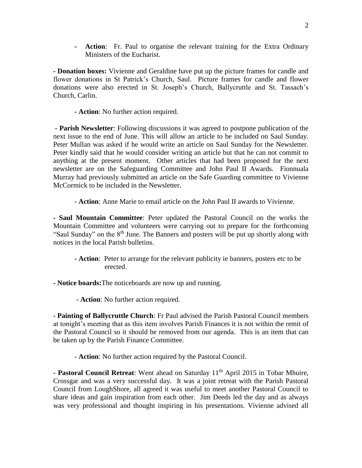**- Action**: Fr. Paul to organise the relevant training for the Extra Ordinary Ministers of the Eucharist.

**- Donation boxes:** Vivienne and Geraldine have put up the picture frames for candle and flower donations in St Patrick's Church, Saul. Picture frames for candle and flower donations were also erected in St. Joseph's Church, Ballycruttle and St. Tassach's Church, Carlin.

**- Action**: No further action required.

**- Parish Newsletter**: Following discussions it was agreed to postpone publication of the next issue to the end of June. This will allow an article to be included on Saul Sunday. Peter Mullan was asked if he would write an article on Saul Sunday for the Newsletter. Peter kindly said that he would consider writing an article but that he can not commit to anything at the present moment. Other articles that had been proposed for the next newsletter are on the Safeguarding Committee and John Paul II Awards. Fionnuala Murray had previously submitted an article on the Safe Guarding committee to Vivienne McCormick to be included in the Newsletter.

- **Action**: Anne Marie to email article on the John Paul II awards to Vivienne.

**- Saul Mountain Committee**: Peter updated the Pastoral Council on the works the Mountain Committee and volunteers were carrying out to prepare for the forthcoming "Saul Sunday" on the 8<sup>th</sup> June. The Banners and posters will be put up shortly along with notices in the local Parish bulletins.

**- Action**: Peter to arrange for the relevant publicity ie banners, posters etc to be erected.

**- Notice boards:**The noticeboards are now up and running.

- **Action**: No further action required.

**- Painting of Ballycruttle Church**: Fr Paul advised the Parish Pastoral Council members at tonight's meeting that as this item involves Parish Finances it is not within the remit of the Pastoral Council so it should be removed from our agenda. This is an item that can be taken up by the Parish Finance Committee.

- **Action**: No further action required by the Pastoral Council.

**- Pastoral Council Retreat**: Went ahead on Saturday 11<sup>th</sup> April 2015 in Tobar Mhuire, Crossgar and was a very successful day. It was a joint retreat with the Parish Pastoral Council from LoughShore, all agreed it was useful to meet another Pastoral Council to share ideas and gain inspiration from each other. Jim Deeds led the day and as always was very professional and thought inspiring in his presentations. Vivienne advised all